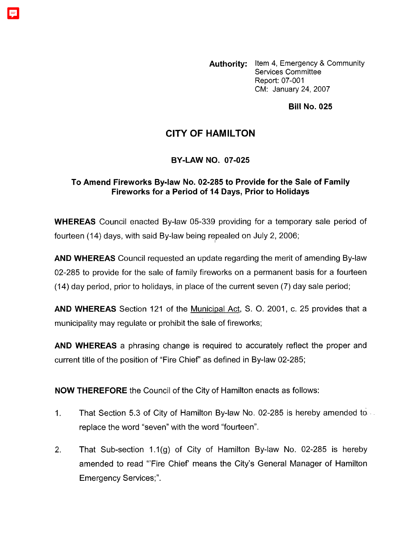**Authority:** Item 4, Emergency & Community Services Committee Report: 07-00 1 CM: January 24,2007

## **Bill No. 025**

## **CITY OF HAMILTON**

## **BY-LAW NO. 07-025**

## **To Amend Fireworks Bylaw No. 02-285 to Provide for the Sale of Family Fireworks for a Period of 14 Days, Prior to Holidays**

**WHEREAS** Council enacted By-law 05-339 providing for a temporary sale period of fourteen (14) days, with said By-law being repealed on July 2, 2006;

**AND WHEREAS** Council requested an update regarding the merit of amending By-law 02-285 to provide for the sale of family fireworks on a permanent basis for a fourteen (14) day period, prior to holidays, in place of the current seven (7) day sale period;

**AND WHEREAS** Section 121 of the Municipal Act, S. 0. 2001, c. 25 provides that a municipality may regulate or prohibit the sale of fireworks;

**AND WHEREAS** a phrasing change is required to accurately reflect the proper and current title of the position of "Fire Chief' as defined in By-law 02-285;

**NOW THEREFORE** the Council of the City of Hamilton enacts as follows:

- 1. That Section 5.3 of City of Hamilton By-law No. 02-285 is hereby amended to replace the word "seven" with the word "fourteen".
- 2. That Sub-section 1.1(g) of City of Hamilton By-law No. 02-285 is hereby amended to read "'Fire Chief' means the City's General Manager of Hamilton Emergency Services;".